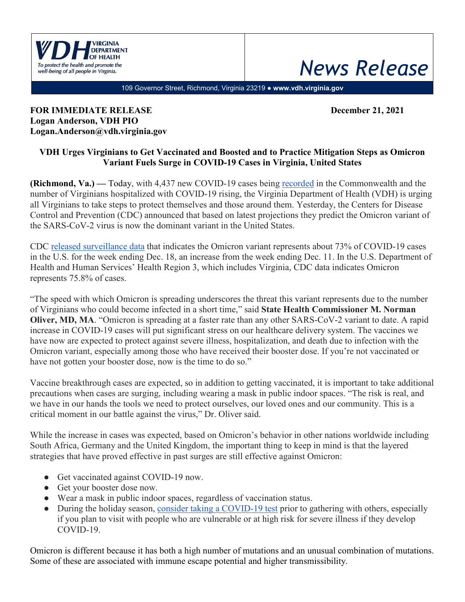

## *News Release*

109 Governor Street, Richmond, Virginia 23219 ● **www.vdh.virginia.gov**

## **FOR IMMEDIATE RELEASE December 21, 2021 Logan Anderson, VDH PIO Logan.Anderson@vdh.virginia.gov**

## **VDH Urges Virginians to Get Vaccinated and Boosted and to Practice Mitigation Steps as Omicron Variant Fuels Surge in COVID-19 Cases in Virginia, United States**

**(Richmond, Va.) —** Today, with 4,437 new COVID-19 cases being [recorded](https://www.vdh.virginia.gov/coronavirus/see-the-numbers/covid-19-in-virginia/) in the Commonwealth and the number of Virginians hospitalized with COVID-19 rising, the Virginia Department of Health (VDH) is urging all Virginians to take steps to protect themselves and those around them. Yesterday, the Centers for Disease Control and Prevention (CDC) announced that based on latest projections they predict the Omicron variant of the SARS-CoV-2 virus is now the dominant variant in the United States.

CDC [released surveillance data](https://covid.cdc.gov/covid-data-tracker/#variant-proportions) that indicates the Omicron variant represents about 73% of COVID-19 cases in the U.S. for the week ending Dec. 18, an increase from the week ending Dec. 11. In the U.S. Department of Health and Human Services' Health Region 3, which includes Virginia, CDC data indicates Omicron represents 75.8% of cases.

"The speed with which Omicron is spreading underscores the threat this variant represents due to the number of Virginians who could become infected in a short time," said **State Health Commissioner M. Norman Oliver, MD, MA**. "Omicron is spreading at a faster rate than any other SARS-CoV-2 variant to date. A rapid increase in COVID-19 cases will put significant stress on our healthcare delivery system. The vaccines we have now are expected to protect against severe illness, hospitalization, and death due to infection with the Omicron variant, especially among those who have received their booster dose. If you're not vaccinated or have not gotten your booster dose, now is the time to do so."

Vaccine breakthrough cases are expected, so in addition to getting vaccinated, it is important to take additional precautions when cases are surging, including wearing a mask in public indoor spaces. "The risk is real, and we have in our hands the tools we need to protect ourselves, our loved ones and our community. This is a critical moment in our battle against the virus," Dr. Oliver said.

While the increase in cases was expected, based on Omicron's behavior in other nations worldwide including South Africa, Germany and the United Kingdom, the important thing to keep in mind is that the layered strategies that have proved effective in past surges are still effective against Omicron:

- Get vaccinated against COVID-19 now.
- Get your booster dose now.
- Wear a mask in public indoor spaces, regardless of vaccination status.
- During the holiday season, [consider taking a COVID-19 test](https://www.vdh.virginia.gov/coronavirus/protect-yourself/covid-19-testing/covid-19-testing-sites/) prior to gathering with others, especially if you plan to visit with people who are vulnerable or at high risk for severe illness if they develop COVID-19.

Omicron is different because it has both a high number of mutations and an unusual combination of mutations. Some of these are associated with immune escape potential and higher transmissibility.